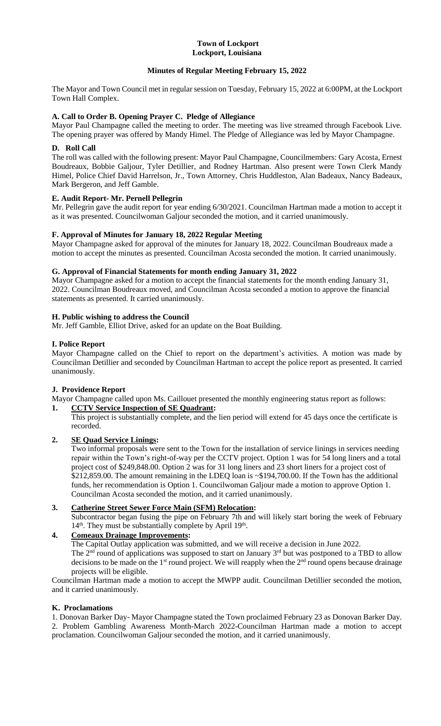#### **Town of Lockport Lockport, Louisiana**

## **Minutes of Regular Meeting February 15, 2022**

The Mayor and Town Council met in regular session on Tuesday, February 15, 2022 at 6:00PM, at the Lockport Town Hall Complex.

### **A. Call to Order B. Opening Prayer C. Pledge of Allegiance**

Mayor Paul Champagne called the meeting to order. The meeting was live streamed through Facebook Live. The opening prayer was offered by Mandy Himel. The Pledge of Allegiance was led by Mayor Champagne.

### **D. Roll Call**

The roll was called with the following present: Mayor Paul Champagne, Councilmembers: Gary Acosta, Ernest Boudreaux, Bobbie Galjour, Tyler Detillier, and Rodney Hartman. Also present were Town Clerk Mandy Himel, Police Chief David Harrelson, Jr., Town Attorney, Chris Huddleston, Alan Badeaux, Nancy Badeaux, Mark Bergeron, and Jeff Gamble.

## **E. Audit Report- Mr. Pernell Pellegrin**

Mr. Pellegrin gave the audit report for year ending 6/30/2021. Councilman Hartman made a motion to accept it as it was presented. Councilwoman Galjour seconded the motion, and it carried unanimously.

### **F. Approval of Minutes for January 18, 2022 Regular Meeting**

Mayor Champagne asked for approval of the minutes for January 18, 2022. Councilman Boudreaux made a motion to accept the minutes as presented. Councilman Acosta seconded the motion. It carried unanimously.

### **G. Approval of Financial Statements for month ending January 31, 2022**

Mayor Champagne asked for a motion to accept the financial statements for the month ending January 31, 2022. Councilman Boudreaux moved, and Councilman Acosta seconded a motion to approve the financial statements as presented. It carried unanimously.

## **H. Public wishing to address the Council**

Mr. Jeff Gamble, Elliot Drive, asked for an update on the Boat Building.

## **I. Police Report**

Mayor Champagne called on the Chief to report on the department's activities. A motion was made by Councilman Detillier and seconded by Councilman Hartman to accept the police report as presented. It carried unanimously.

# **J. Providence Report**

Mayor Champagne called upon Ms. Caillouet presented the monthly engineering status report as follows: **1. CCTV Service Inspection of SE Quadrant:**

This project is substantially complete, and the lien period will extend for 45 days once the certificate is recorded.

# **2. SE Quad Service Linings:**

Two informal proposals were sent to the Town for the installation of service linings in services needing repair within the Town's right-of-way per the CCTV project. Option 1 was for 54 long liners and a total project cost of \$249,848.00. Option 2 was for 31 long liners and 23 short liners for a project cost of \$212,859.00. The amount remaining in the LDEQ loan is ~\$194,700.00. If the Town has the additional funds, her recommendation is Option 1. Councilwoman Galjour made a motion to approve Option 1. Councilman Acosta seconded the motion, and it carried unanimously.

### **3. Catherine Street Sewer Force Main (SFM) Relocation:**

Subcontractor began fusing the pipe on February 7th and will likely start boring the week of February 14<sup>th</sup>. They must be substantially complete by April 19<sup>th</sup>.

# **4. Comeaux Drainage Improvements:**

The Capital Outlay application was submitted, and we will receive a decision in June 2022.

The  $2<sup>nd</sup>$  round of applications was supposed to start on January  $3<sup>rd</sup>$  but was postponed to a TBD to allow decisions to be made on the 1<sup>st</sup> round project. We will reapply when the 2<sup>nd</sup> round opens because drainage projects will be eligible.

Councilman Hartman made a motion to accept the MWPP audit. Councilman Detillier seconded the motion, and it carried unanimously.

## **K. Proclamations**

1. Donovan Barker Day- Mayor Champagne stated the Town proclaimed February 23 as Donovan Barker Day. 2. Problem Gambling Awareness Month-March 2022-Councilman Hartman made a motion to accept proclamation. Councilwoman Galjour seconded the motion, and it carried unanimously.